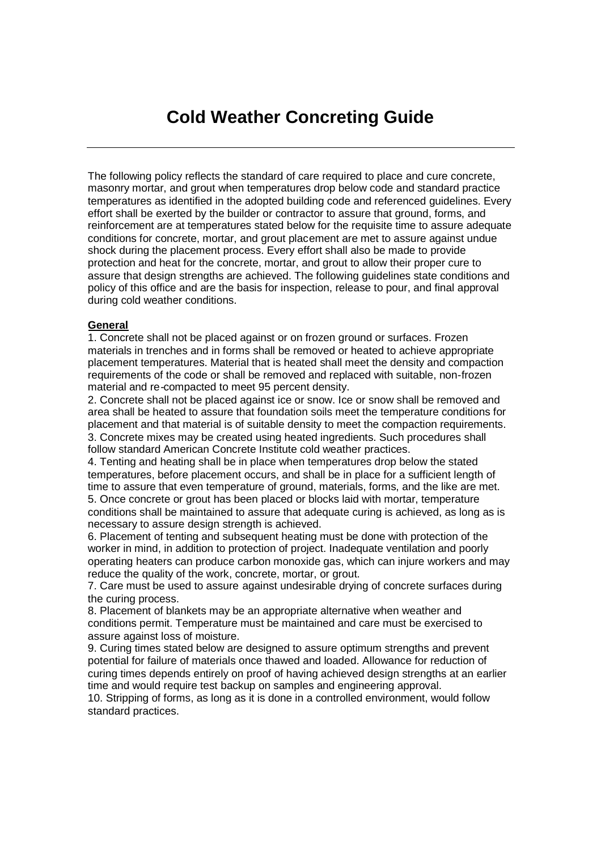The following policy reflects the standard of care required to place and cure concrete, masonry mortar, and grout when temperatures drop below code and standard practice temperatures as identified in the adopted building code and referenced guidelines. Every effort shall be exerted by the builder or contractor to assure that ground, forms, and reinforcement are at temperatures stated below for the requisite time to assure adequate conditions for concrete, mortar, and grout placement are met to assure against undue shock during the placement process. Every effort shall also be made to provide protection and heat for the concrete, mortar, and grout to allow their proper cure to assure that design strengths are achieved. The following guidelines state conditions and policy of this office and are the basis for inspection, release to pour, and final approval during cold weather conditions.

## **General**

1. Concrete shall not be placed against or on frozen ground or surfaces. Frozen materials in trenches and in forms shall be removed or heated to achieve appropriate placement temperatures. Material that is heated shall meet the density and compaction requirements of the code or shall be removed and replaced with suitable, non-frozen material and re-compacted to meet 95 percent density.

2. Concrete shall not be placed against ice or snow. Ice or snow shall be removed and area shall be heated to assure that foundation soils meet the temperature conditions for placement and that material is of suitable density to meet the compaction requirements. 3. Concrete mixes may be created using heated ingredients. Such procedures shall follow standard American Concrete Institute cold weather practices.

4. Tenting and heating shall be in place when temperatures drop below the stated temperatures, before placement occurs, and shall be in place for a sufficient length of time to assure that even temperature of ground, materials, forms, and the like are met. 5. Once concrete or grout has been placed or blocks laid with mortar, temperature

conditions shall be maintained to assure that adequate curing is achieved, as long as is necessary to assure design strength is achieved.

6. Placement of tenting and subsequent heating must be done with protection of the worker in mind, in addition to protection of project. Inadequate ventilation and poorly operating heaters can produce carbon monoxide gas, which can injure workers and may reduce the quality of the work, concrete, mortar, or grout.

7. Care must be used to assure against undesirable drying of concrete surfaces during the curing process.

8. Placement of blankets may be an appropriate alternative when weather and conditions permit. Temperature must be maintained and care must be exercised to assure against loss of moisture.

9. Curing times stated below are designed to assure optimum strengths and prevent potential for failure of materials once thawed and loaded. Allowance for reduction of curing times depends entirely on proof of having achieved design strengths at an earlier time and would require test backup on samples and engineering approval.

10. Stripping of forms, as long as it is done in a controlled environment, would follow standard practices.